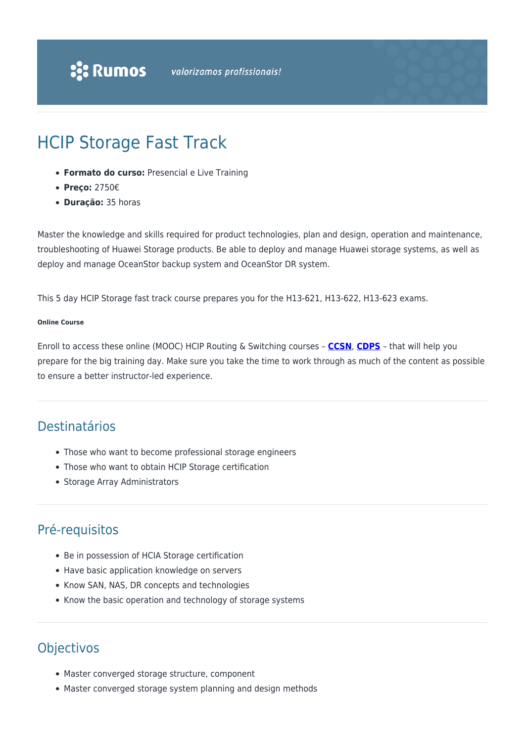# HCIP Storage Fast Track

- **Formato do curso:** Presencial e Live Training
- **Preço:** 2750€
- **Duração:** 35 horas

Master the knowledge and skills required for product technologies, plan and design, operation and maintenance, troubleshooting of Huawei Storage products. Be able to deploy and manage Huawei storage systems, as well as deploy and manage OceanStor backup system and OceanStor DR system.

This 5 day HCIP Storage fast track course prepares you for the H13-621, H13-622, H13-623 exams.

#### **Online Course**

Enroll to access these online (MOOC) HCIP Routing & Switching courses – **[CCSN](https://ilearningx.huawei.com/portal/courses/course-v1:HuaweiX+EBGTC00000116+2018.7/about)**, **[CDPS](https://ilearningx.huawei.com/portal/courses/course-v1:HuaweiX+EBGTC00000186+2018.9/about)** – that will help you prepare for the big training day. Make sure you take the time to work through as much of the content as possible to ensure a better instructor-led experience.

# Destinatários

- Those who want to become professional storage engineers
- Those who want to obtain HCIP Storage certification
- Storage Array Administrators

### Pré-requisitos

- Be in possession of HCIA Storage certification
- Have basic application knowledge on servers
- Know SAN, NAS, DR concepts and technologies
- Know the basic operation and technology of storage systems

# **Objectivos**

- Master converged storage structure, component
- Master converged storage system planning and design methods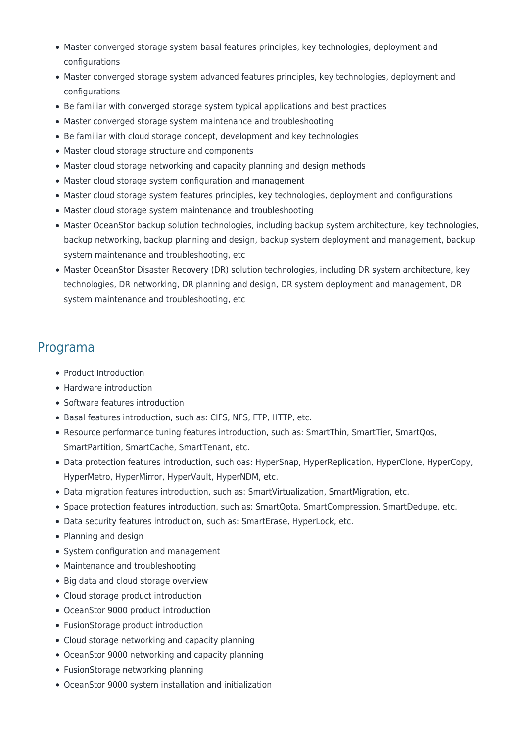- Master converged storage system basal features principles, key technologies, deployment and configurations
- Master converged storage system advanced features principles, key technologies, deployment and configurations
- Be familiar with converged storage system typical applications and best practices
- Master converged storage system maintenance and troubleshooting
- Be familiar with cloud storage concept, development and key technologies
- Master cloud storage structure and components
- Master cloud storage networking and capacity planning and design methods
- Master cloud storage system configuration and management
- Master cloud storage system features principles, key technologies, deployment and configurations
- Master cloud storage system maintenance and troubleshooting
- Master OceanStor backup solution technologies, including backup system architecture, key technologies, backup networking, backup planning and design, backup system deployment and management, backup system maintenance and troubleshooting, etc
- Master OceanStor Disaster Recovery (DR) solution technologies, including DR system architecture, key technologies, DR networking, DR planning and design, DR system deployment and management, DR system maintenance and troubleshooting, etc

#### Programa

- Product Introduction
- Hardware introduction
- Software features introduction
- Basal features introduction, such as: CIFS, NFS, FTP, HTTP, etc.
- Resource performance tuning features introduction, such as: SmartThin, SmartTier, SmartQos, SmartPartition, SmartCache, SmartTenant, etc.
- Data protection features introduction, such oas: HyperSnap, HyperReplication, HyperClone, HyperCopy, HyperMetro, HyperMirror, HyperVault, HyperNDM, etc.
- Data migration features introduction, such as: SmartVirtualization, SmartMigration, etc.
- Space protection features introduction, such as: SmartQota, SmartCompression, SmartDedupe, etc.
- Data security features introduction, such as: SmartErase, HyperLock, etc.
- Planning and design
- System configuration and management
- Maintenance and troubleshooting
- Big data and cloud storage overview
- Cloud storage product introduction
- OceanStor 9000 product introduction
- FusionStorage product introduction
- Cloud storage networking and capacity planning
- OceanStor 9000 networking and capacity planning
- FusionStorage networking planning
- OceanStor 9000 system installation and initialization